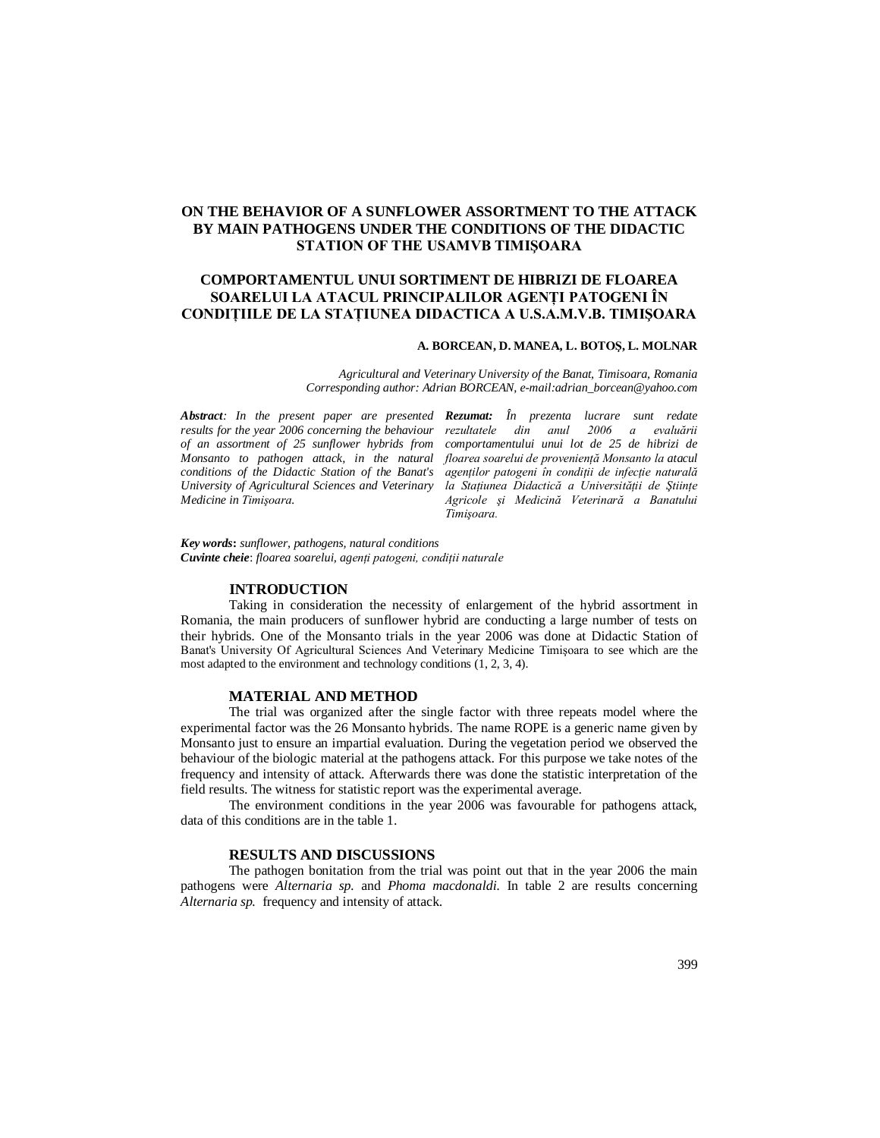# **ON THE BEHAVIOR OF A SUNFLOWER ASSORTMENT TO THE ATTACK BY MAIN PATHOGENS UNDER THE CONDITIONS OF THE DIDACTIC STATION OF THE USAMVB TIMIŞOARA**

# **COMPORTAMENTUL UNUI SORTIMENT DE HIBRIZI DE FLOAREA SOARELUI LA ATACUL PRINCIPALILOR AGENŢI PATOGENI ÎN CONDIŢIILE DE LA STAŢIUNEA DIDACTICA A U.S.A.M.V.B. TIMIŞOARA**

### **A. BORCEAN, D. MANEA, L. BOTOŞ, L. MOLNAR**

*Agricultural and Veterinary University of the Banat, Timisoara, Romania Corresponding author: Adrian BORCEAN, e-mail:adrian\_borcean@yahoo.com*

*Abstract: In the present paper are presented Rezumat: În prezenta lucrare sunt redate results for the year 2006 concerning the behaviour rezultatele of an assortment of 25 sunflower hybrids from conditions of the Didactic Station of the Banat's University of Agricultural Sciences and Veterinary Medicine in Timişoara.* 

*Monsanto to pathogen attack, in the natural floarea soarelui de provenienţă Monsanto la atacul rezultatele din anul 2006 a evaluării comportamentului unui lot de 25 de hibrizi de agenţilor patogeni în condiţii de infecţie naturală la Staţiunea Didactică a Universităţii de Ştiinţe Agricole şi Medicină Veterinară a Banatului Timişoara.* 

*Key words***:** *sunflower, pathogens, natural conditions Cuvinte cheie*: *floarea soarelui, agenţi patogeni, condiţii naturale*

## **INTRODUCTION**

Taking in consideration the necessity of enlargement of the hybrid assortment in Romania, the main producers of sunflower hybrid are conducting a large number of tests on their hybrids. One of the Monsanto trials in the year 2006 was done at Didactic Station of Banat's University Of Agricultural Sciences And Veterinary Medicine Timişoara to see which are the most adapted to the environment and technology conditions (1, 2, 3, 4).

#### **MATERIAL AND METHOD**

The trial was organized after the single factor with three repeats model where the experimental factor was the 26 Monsanto hybrids. The name ROPE is a generic name given by Monsanto just to ensure an impartial evaluation. During the vegetation period we observed the behaviour of the biologic material at the pathogens attack. For this purpose we take notes of the frequency and intensity of attack. Afterwards there was done the statistic interpretation of the field results. The witness for statistic report was the experimental average.

The environment conditions in the year 2006 was favourable for pathogens attack, data of this conditions are in the table 1.

### **RESULTS AND DISCUSSIONS**

The pathogen bonitation from the trial was point out that in the year 2006 the main pathogens were *Alternaria sp.* and *Phoma macdonaldi.* In table 2 are results concerning *Alternaria sp.* frequency and intensity of attack.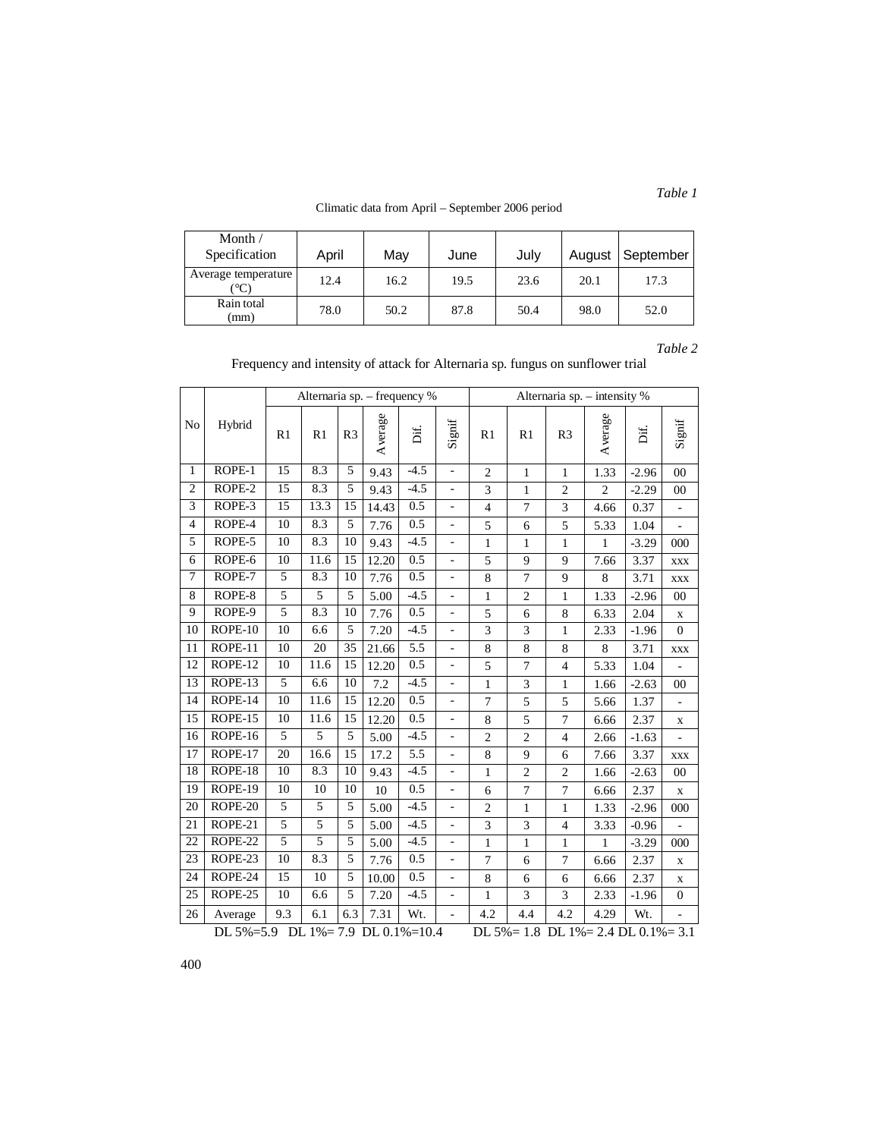Climatic data from April – September 2006 period

| Month $/$<br>Specification           | April | Mav  | June | Julv |      | August   September |
|--------------------------------------|-------|------|------|------|------|--------------------|
| Average temperature<br>$^{\circ}$ C) | 12.4  | 16.2 | 19.5 | 23.6 | 20.1 | 17.3               |
| Rain total<br>(mm)                   | 78.0  | 50.2 | 87.8 | 50.4 | 98.0 | 52.0               |

*Table 2*

*Table 1*

| Frequency and intensity of attack for Alternaria sp. fungus on sunflower trial |  |  |
|--------------------------------------------------------------------------------|--|--|
|--------------------------------------------------------------------------------|--|--|

|                 |                                                                                                      | Alternaria sp. - frequency %<br>Alternaria sp. - intensity % |      |                |         |        |                          |                |                |                |                |         |                          |
|-----------------|------------------------------------------------------------------------------------------------------|--------------------------------------------------------------|------|----------------|---------|--------|--------------------------|----------------|----------------|----------------|----------------|---------|--------------------------|
| No              | Hybrid                                                                                               | R1                                                           | R1   | R <sub>3</sub> | Average | Dif.   | Signif                   | R1             | R1             | R <sub>3</sub> | Average        | Dif.    | Signif                   |
| $\mathbf{1}$    | ROPE-1                                                                                               | 15                                                           | 8.3  | 5              | 9.43    | $-4.5$ | $\overline{\phantom{a}}$ | $\overline{2}$ | $\mathbf{1}$   | $\mathbf{1}$   | 1.33           | $-2.96$ | 00                       |
| $\overline{2}$  | ROPE-2                                                                                               | $\overline{15}$                                              | 8.3  | $\overline{5}$ | 9.43    | $-4.5$ | $\overline{a}$           | 3              | $\mathbf{1}$   | $\overline{2}$ | $\overline{2}$ | $-2.29$ | 00                       |
| $\overline{3}$  | ROPE-3                                                                                               | 15                                                           | 13.3 | 15             | 14.43   | 0.5    | ÷,                       | $\overline{4}$ | $\overline{7}$ | 3              | 4.66           | 0.37    | $\blacksquare$           |
| $\overline{4}$  | ROPE-4                                                                                               | $\overline{10}$                                              | 8.3  | $\overline{5}$ | 7.76    | 0.5    | $\overline{\phantom{a}}$ | 5              | 6              | 5              | 5.33           | 1.04    | ÷,                       |
| 5               | ROPE-5                                                                                               | 10                                                           | 8.3  | 10             | 9.43    | $-4.5$ | $\overline{\phantom{0}}$ | $\mathbf{1}$   | $\mathbf{1}$   | 1              | 1              | $-3.29$ | 000                      |
| 6               | ROPE-6                                                                                               | 10                                                           | 11.6 | 15             | 12.20   | 0.5    | $\frac{1}{2}$            | 5              | 9              | 9              | 7.66           | 3.37    | XXX                      |
| $\overline{7}$  | ROPE-7                                                                                               | 5                                                            | 8.3  | 10             | 7.76    | 0.5    | $\overline{\phantom{a}}$ | 8              | $\overline{7}$ | 9              | 8              | 3.71    | XXX                      |
| 8               | ROPE-8                                                                                               | 5                                                            | 5    | 5              | 5.00    | $-4.5$ | $\blacksquare$           | $\mathbf{1}$   | $\sqrt{2}$     | 1              | 1.33           | $-2.96$ | 00                       |
| 9               | ROPE-9                                                                                               | 5                                                            | 8.3  | 10             | 7.76    | 0.5    | $\overline{\phantom{a}}$ | 5              | 6              | $\,8\,$        | 6.33           | 2.04    | X                        |
| 10              | ROPE-10                                                                                              | 10                                                           | 6.6  | 5              | 7.20    | $-4.5$ | L.                       | 3              | 3              | $\mathbf{1}$   | 2.33           | $-1.96$ | $\Omega$                 |
| 11              | ROPE-11                                                                                              | 10                                                           | 20   | 35             | 21.66   | 5.5    | $\frac{1}{2}$            | 8              | 8              | 8              | 8              | 3.71    | <b>XXX</b>               |
| 12              | ROPE-12                                                                                              | 10                                                           | 11.6 | 15             | 12.20   | 0.5    | ÷,                       | 5              | $\overline{7}$ | $\overline{4}$ | 5.33           | 1.04    |                          |
| 13              | ROPE-13                                                                                              | 5                                                            | 6.6  | 10             | 7.2     | $-4.5$ | ÷,                       | 1              | 3              | 1              | 1.66           | $-2.63$ | 00                       |
| 14              | ROPE-14                                                                                              | 10                                                           | 11.6 | 15             | 12.20   | 0.5    | $\overline{a}$           | $\tau$         | 5              | 5              | 5.66           | 1.37    | $\overline{\phantom{0}}$ |
| 15              | ROPE-15                                                                                              | 10                                                           | 11.6 | 15             | 12.20   | 0.5    |                          | 8              | 5              | $\overline{7}$ | 6.66           | 2.37    | X                        |
| 16              | ROPE-16                                                                                              | 5                                                            | 5    | 5              | 5.00    | $-4.5$ | $\blacksquare$           | $\mathfrak{2}$ | $\mathfrak{2}$ | $\overline{4}$ | 2.66           | $-1.63$ | $\overline{\phantom{a}}$ |
| 17              | ROPE-17                                                                                              | 20                                                           | 16.6 | 15             | 17.2    | 5.5    | $\overline{a}$           | 8              | 9              | 6              | 7.66           | 3.37    | XXX                      |
| 18              | ROPE-18                                                                                              | 10                                                           | 8.3  | 10             | 9.43    | $-4.5$ | ÷,                       | $\mathbf{1}$   | $\sqrt{2}$     | $\mathbf{2}$   | 1.66           | $-2.63$ | 00                       |
| 19              | ROPE-19                                                                                              | 10                                                           | 10   | 10             | 10      | 0.5    | ÷,                       | 6              | $\overline{7}$ | $\overline{7}$ | 6.66           | 2.37    | $\mathbf X$              |
| 20              | ROPE-20                                                                                              | 5                                                            | 5    | 5              | 5.00    | $-4.5$ |                          | $\mathfrak{2}$ | $\mathbf{1}$   | $\mathbf{1}$   | 1.33           | $-2.96$ | 000                      |
| 21              | ROPE-21                                                                                              | 5                                                            | 5    | 5              | 5.00    | $-4.5$ | $\overline{a}$           | 3              | 3              | $\overline{4}$ | 3.33           | $-0.96$ | ÷                        |
| $\overline{22}$ | ROPE-22                                                                                              | 5                                                            | 5    | 5              | 5.00    | $-4.5$ | $\overline{\phantom{a}}$ | $\mathbf{1}$   | $\mathbf{1}$   | $\mathbf{1}$   | $\mathbf{1}$   | $-3.29$ | 000                      |
| 23              | ROPE-23                                                                                              | 10                                                           | 8.3  | 5              | 7.76    | 0.5    | ÷,                       | $\overline{7}$ | 6              | $\overline{7}$ | 6.66           | 2.37    | X                        |
| 24              | ROPE-24                                                                                              | 15                                                           | 10   | 5              | 10.00   | 0.5    | ÷,                       | 8              | 6              | 6              | 6.66           | 2.37    | X                        |
| $\overline{25}$ | ROPE-25                                                                                              | $\overline{10}$                                              | 6.6  | 5              | 7.20    | $-4.5$ | $\overline{a}$           | $\mathbf{1}$   | 3              | 3              | 2.33           | $-1.96$ | $\boldsymbol{0}$         |
| 26              | Average                                                                                              | 9.3                                                          | 6.1  | 6.3            | 7.31    | Wt.    | ÷,                       | 4.2            | 4.4            | 4.2            | 4.29           | Wt.     | ÷,                       |
|                 | DL $5\% = 5.9$<br>DL $1\% = 7.9$ DL $0.1\% = 10.4$<br>DL $5\% = 1.8$ DL $1\% = 2.4$ DL $0.1\% = 3.1$ |                                                              |      |                |         |        |                          |                |                |                |                |         |                          |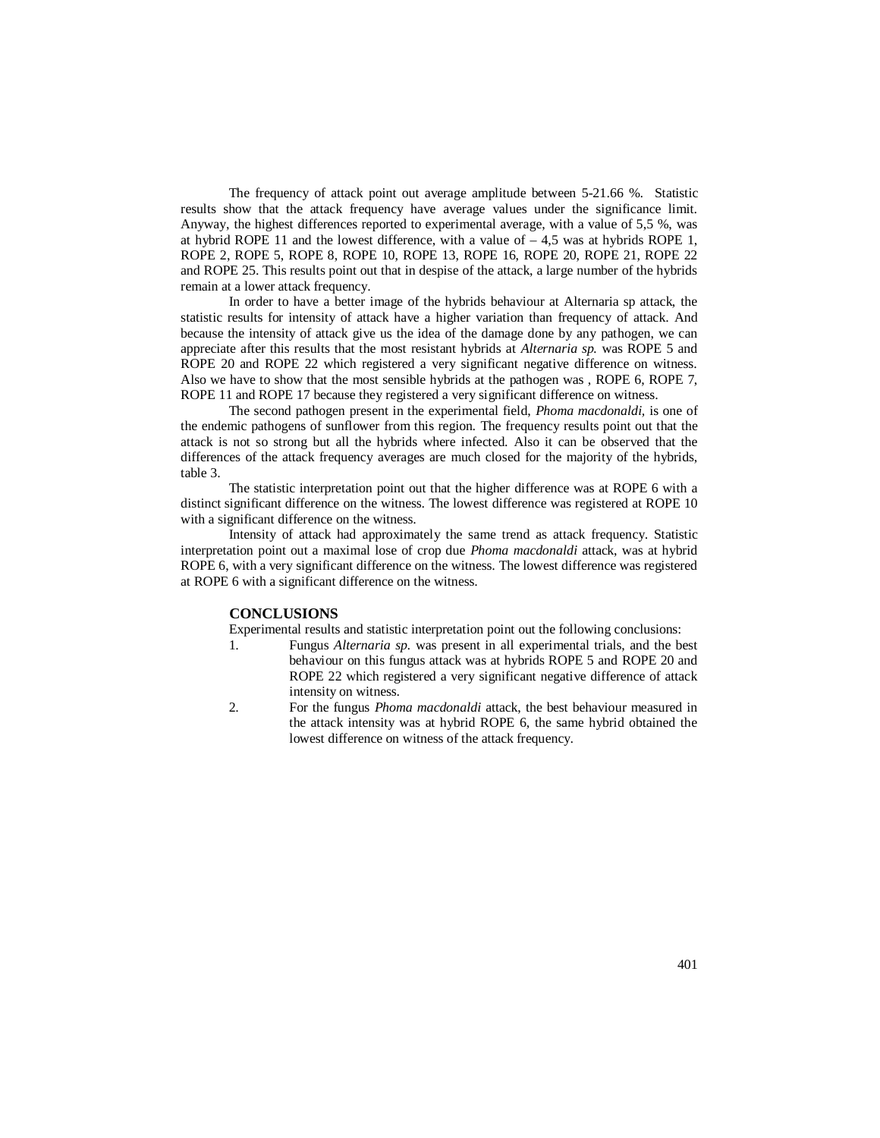The frequency of attack point out average amplitude between 5-21.66 %. Statistic results show that the attack frequency have average values under the significance limit. Anyway, the highest differences reported to experimental average, with a value of 5,5 %, was at hybrid ROPE 11 and the lowest difference, with a value of  $-4.5$  was at hybrids ROPE 1, ROPE 2, ROPE 5, ROPE 8, ROPE 10, ROPE 13, ROPE 16, ROPE 20, ROPE 21, ROPE 22 and ROPE 25. This results point out that in despise of the attack, a large number of the hybrids remain at a lower attack frequency.

In order to have a better image of the hybrids behaviour at Alternaria sp attack, the statistic results for intensity of attack have a higher variation than frequency of attack. And because the intensity of attack give us the idea of the damage done by any pathogen, we can appreciate after this results that the most resistant hybrids at *Alternaria sp.* was ROPE 5 and ROPE 20 and ROPE 22 which registered a very significant negative difference on witness. Also we have to show that the most sensible hybrids at the pathogen was , ROPE 6, ROPE 7, ROPE 11 and ROPE 17 because they registered a very significant difference on witness.

The second pathogen present in the experimental field, *Phoma macdonaldi,* is one of the endemic pathogens of sunflower from this region. The frequency results point out that the attack is not so strong but all the hybrids where infected. Also it can be observed that the differences of the attack frequency averages are much closed for the majority of the hybrids, table 3.

The statistic interpretation point out that the higher difference was at ROPE 6 with a distinct significant difference on the witness. The lowest difference was registered at ROPE 10 with a significant difference on the witness.

Intensity of attack had approximately the same trend as attack frequency. Statistic interpretation point out a maximal lose of crop due *Phoma macdonaldi* attack, was at hybrid ROPE 6, with a very significant difference on the witness. The lowest difference was registered at ROPE 6 with a significant difference on the witness.

#### **CONCLUSIONS**

Experimental results and statistic interpretation point out the following conclusions:

- 1. Fungus *Alternaria sp.* was present in all experimental trials, and the best behaviour on this fungus attack was at hybrids ROPE 5 and ROPE 20 and ROPE 22 which registered a very significant negative difference of attack intensity on witness.
- 2. For the fungus *Phoma macdonaldi* attack, the best behaviour measured in the attack intensity was at hybrid ROPE 6, the same hybrid obtained the lowest difference on witness of the attack frequency.